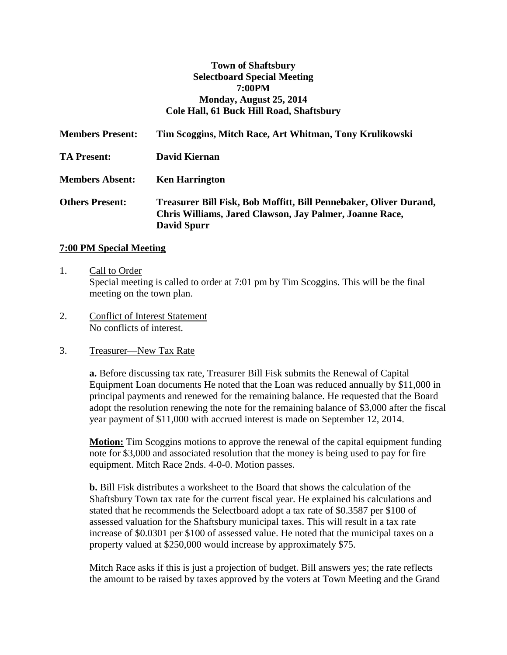## **Town of Shaftsbury Selectboard Special Meeting 7:00PM Monday, August 25, 2014 Cole Hall, 61 Buck Hill Road, Shaftsbury**

| <b>Members Present:</b> | Tim Scoggins, Mitch Race, Art Whitman, Tony Krulikowski                                                                                            |
|-------------------------|----------------------------------------------------------------------------------------------------------------------------------------------------|
| <b>TA Present:</b>      | David Kiernan                                                                                                                                      |
| <b>Members Absent:</b>  | <b>Ken Harrington</b>                                                                                                                              |
| <b>Others Present:</b>  | Treasurer Bill Fisk, Bob Moffitt, Bill Pennebaker, Oliver Durand,<br>Chris Williams, Jared Clawson, Jay Palmer, Joanne Race,<br><b>David Spurr</b> |

## **7:00 PM Special Meeting**

- 1. Call to Order Special meeting is called to order at 7:01 pm by Tim Scoggins. This will be the final meeting on the town plan.
- 2. Conflict of Interest Statement No conflicts of interest.
- 3. Treasurer—New Tax Rate

**a.** Before discussing tax rate, Treasurer Bill Fisk submits the Renewal of Capital Equipment Loan documents He noted that the Loan was reduced annually by \$11,000 in principal payments and renewed for the remaining balance. He requested that the Board adopt the resolution renewing the note for the remaining balance of \$3,000 after the fiscal year payment of \$11,000 with accrued interest is made on September 12, 2014.

**Motion:** Tim Scoggins motions to approve the renewal of the capital equipment funding note for \$3,000 and associated resolution that the money is being used to pay for fire equipment. Mitch Race 2nds. 4-0-0. Motion passes.

**b.** Bill Fisk distributes a worksheet to the Board that shows the calculation of the Shaftsbury Town tax rate for the current fiscal year. He explained his calculations and stated that he recommends the Selectboard adopt a tax rate of \$0.3587 per \$100 of assessed valuation for the Shaftsbury municipal taxes. This will result in a tax rate increase of \$0.0301 per \$100 of assessed value. He noted that the municipal taxes on a property valued at \$250,000 would increase by approximately \$75.

Mitch Race asks if this is just a projection of budget. Bill answers yes; the rate reflects the amount to be raised by taxes approved by the voters at Town Meeting and the Grand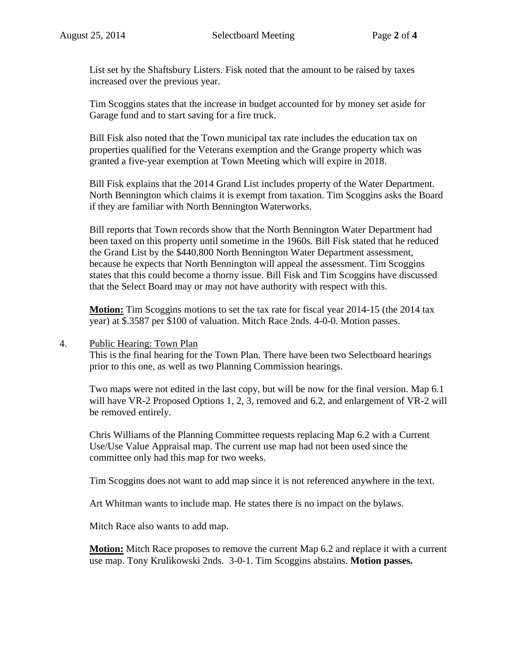List set by the Shaftsbury Listers. Fisk noted that the amount to be raised by taxes increased over the previous year.

Tim Scoggins states that the increase in budget accounted for by money set aside for Garage fund and to start saving for a fire truck.

Bill Fisk also noted that the Town municipal tax rate includes the education tax on properties qualified for the Veterans exemption and the Grange property which was granted a five-year exemption at Town Meeting which will expire in 2018.

Bill Fisk explains that the 2014 Grand List includes property of the Water Department. North Bennington which claims it is exempt from taxation. Tim Scoggins asks the Board if they are familiar with North Bennington Waterworks.

Bill reports that Town records show that the North Bennington Water Department had been taxed on this property until sometime in the 1960s. Bill Fisk stated that he reduced the Grand List by the \$440,800 North Bennington Water Department assessment, because he expects that North Bennington will appeal the assessment. Tim Scoggins states that this could become a thorny issue. Bill Fisk and Tim Scoggins have discussed that the Select Board may or may not have authority with respect with this.

**Motion:** Tim Scoggins motions to set the tax rate for fiscal year 2014-15 (the 2014 tax year) at \$.3587 per \$100 of valuation. Mitch Race 2nds. 4-0-0. Motion passes.

## 4. Public Hearing: Town Plan

This is the final hearing for the Town Plan. There have been two Selectboard hearings prior to this one, as well as two Planning Commission hearings.

Two maps were not edited in the last copy, but will be now for the final version. Map 6.1 will have VR-2 Proposed Options 1, 2, 3, removed and 6.2, and enlargement of VR-2 will be removed entirely.

Chris Williams of the Planning Committee requests replacing Map 6.2 with a Current Use/Use Value Appraisal map. The current use map had not been used since the committee only had this map for two weeks.

Tim Scoggins does not want to add map since it is not referenced anywhere in the text.

Art Whitman wants to include map. He states there is no impact on the bylaws.

Mitch Race also wants to add map.

**Motion:** Mitch Race proposes to remove the current Map 6.2 and replace it with a current use map. Tony Krulikowski 2nds. 3-0-1. Tim Scoggins abstains. **Motion passes.**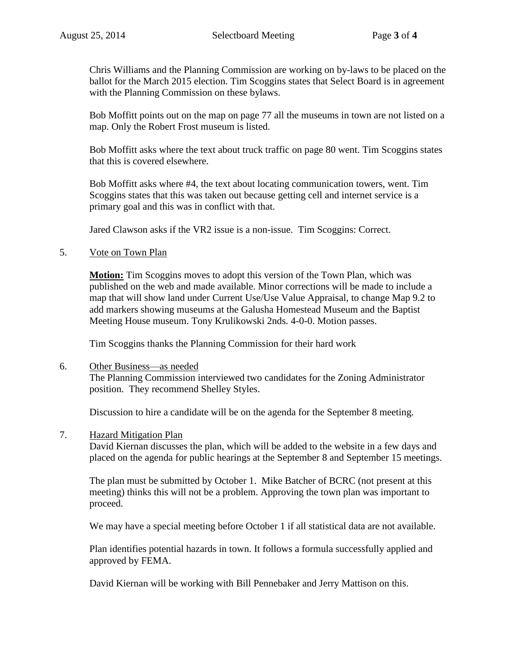Chris Williams and the Planning Commission are working on by-laws to be placed on the ballot for the March 2015 election. Tim Scoggins states that Select Board is in agreement with the Planning Commission on these bylaws.

Bob Moffitt points out on the map on page 77 all the museums in town are not listed on a map. Only the Robert Frost museum is listed.

Bob Moffitt asks where the text about truck traffic on page 80 went. Tim Scoggins states that this is covered elsewhere.

Bob Moffitt asks where #4, the text about locating communication towers, went. Tim Scoggins states that this was taken out because getting cell and internet service is a primary goal and this was in conflict with that.

Jared Clawson asks if the VR2 issue is a non-issue. Tim Scoggins: Correct.

5. Vote on Town Plan

**Motion:** Tim Scoggins moves to adopt this version of the Town Plan, which was published on the web and made available. Minor corrections will be made to include a map that will show land under Current Use/Use Value Appraisal, to change Map 9.2 to add markers showing museums at the Galusha Homestead Museum and the Baptist Meeting House museum. Tony Krulikowski 2nds. 4-0-0. Motion passes.

Tim Scoggins thanks the Planning Commission for their hard work

6. Other Business—as needed

The Planning Commission interviewed two candidates for the Zoning Administrator position. They recommend Shelley Styles.

Discussion to hire a candidate will be on the agenda for the September 8 meeting.

## 7. Hazard Mitigation Plan

David Kiernan discusses the plan, which will be added to the website in a few days and placed on the agenda for public hearings at the September 8 and September 15 meetings.

The plan must be submitted by October 1. Mike Batcher of BCRC (not present at this meeting) thinks this will not be a problem. Approving the town plan was important to proceed.

We may have a special meeting before October 1 if all statistical data are not available.

Plan identifies potential hazards in town. It follows a formula successfully applied and approved by FEMA.

David Kiernan will be working with Bill Pennebaker and Jerry Mattison on this.